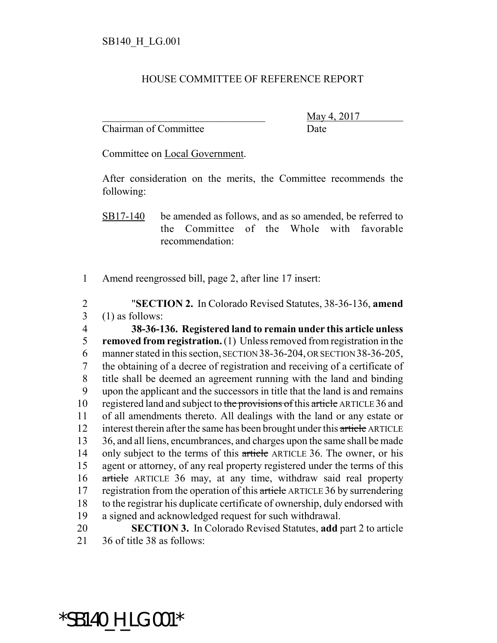## HOUSE COMMITTEE OF REFERENCE REPORT

Chairman of Committee Date

May 4, 2017

Committee on Local Government.

After consideration on the merits, the Committee recommends the following:

SB17-140 be amended as follows, and as so amended, be referred to the Committee of the Whole with favorable recommendation:

1 Amend reengrossed bill, page 2, after line 17 insert:

2 "**SECTION 2.** In Colorado Revised Statutes, 38-36-136, **amend** 3 (1) as follows:

 **38-36-136. Registered land to remain under this article unless removed from registration.** (1) Unless removed from registration in the manner stated in this section, SECTION 38-36-204, OR SECTION 38-36-205, the obtaining of a decree of registration and receiving of a certificate of title shall be deemed an agreement running with the land and binding upon the applicant and the successors in title that the land is and remains 10 registered land and subject to the provisions of this article ARTICLE 36 and of all amendments thereto. All dealings with the land or any estate or 12 interest therein after the same has been brought under this article ARTICLE 36, and all liens, encumbrances, and charges upon the same shall be made 14 only subject to the terms of this article ARTICLE 36. The owner, or his agent or attorney, of any real property registered under the terms of this article ARTICLE 36 may, at any time, withdraw said real property 17 registration from the operation of this article ARTICLE 36 by surrendering to the registrar his duplicate certificate of ownership, duly endorsed with a signed and acknowledged request for such withdrawal.

20 **SECTION 3.** In Colorado Revised Statutes, **add** part 2 to article 21 36 of title 38 as follows:

\*SB140\_H\_LG.001\*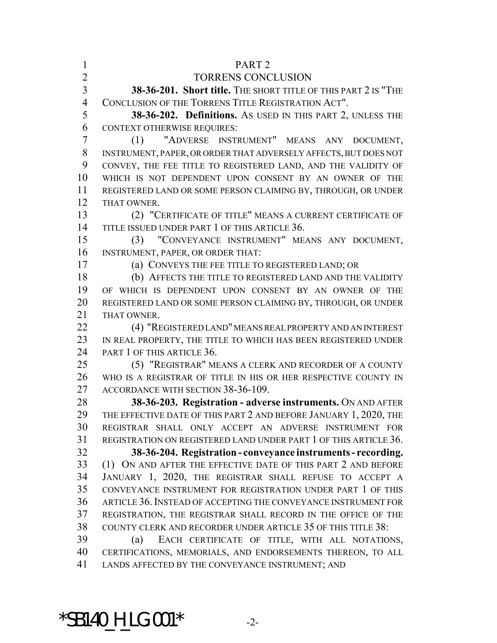| $\mathbf{1}$   | PART <sub>2</sub>                                                                                             |
|----------------|---------------------------------------------------------------------------------------------------------------|
| $\overline{2}$ | TORRENS CONCLUSION                                                                                            |
| $\overline{3}$ | 38-36-201. Short title. THE SHORT TITLE OF THIS PART 2 IS "THE                                                |
| $\overline{4}$ | CONCLUSION OF THE TORRENS TITLE REGISTRATION ACT".                                                            |
| 5              | 38-36-202. Definitions. As USED IN THIS PART 2, UNLESS THE                                                    |
| 6              | <b>CONTEXT OTHERWISE REQUIRES:</b>                                                                            |
| $\overline{7}$ | (1) "ADVERSE INSTRUMENT" MEANS ANY DOCUMENT,                                                                  |
| 8              | INSTRUMENT, PAPER, OR ORDER THAT ADVERSELY AFFECTS, BUT DOES NOT                                              |
| 9              | CONVEY, THE FEE TITLE TO REGISTERED LAND, AND THE VALIDITY OF                                                 |
| 10             | WHICH IS NOT DEPENDENT UPON CONSENT BY AN OWNER OF THE                                                        |
| 11             | REGISTERED LAND OR SOME PERSON CLAIMING BY, THROUGH, OR UNDER                                                 |
| 12             | THAT OWNER.                                                                                                   |
| 13             | (2) "CERTIFICATE OF TITLE" MEANS A CURRENT CERTIFICATE OF                                                     |
| 14             | TITLE ISSUED UNDER PART 1 OF THIS ARTICLE 36.                                                                 |
| 15             | (3) "CONVEYANCE INSTRUMENT" MEANS ANY DOCUMENT,                                                               |
| 16             | INSTRUMENT, PAPER, OR ORDER THAT:                                                                             |
| 17             | (a) CONVEYS THE FEE TITLE TO REGISTERED LAND; OR                                                              |
| 18             | (b) AFFECTS THE TITLE TO REGISTERED LAND AND THE VALIDITY                                                     |
| 19             | OF WHICH IS DEPENDENT UPON CONSENT BY AN OWNER OF THE                                                         |
| 20             | REGISTERED LAND OR SOME PERSON CLAIMING BY, THROUGH, OR UNDER                                                 |
| 21             | THAT OWNER.                                                                                                   |
| 22             | (4) "REGISTERED LAND" MEANS REAL PROPERTY AND AN INTEREST                                                     |
| 23             | IN REAL PROPERTY, THE TITLE TO WHICH HAS BEEN REGISTERED UNDER                                                |
| 24             | PART 1 OF THIS ARTICLE 36.                                                                                    |
| 25             | (5) "REGISTRAR" MEANS A CLERK AND RECORDER OF A COUNTY                                                        |
| 26             | WHO IS A REGISTRAR OF TITLE IN HIS OR HER RESPECTIVE COUNTY IN                                                |
| 27             | ACCORDANCE WITH SECTION 38-36-109.                                                                            |
| 28             | 38-36-203. Registration - adverse instruments. ON AND AFTER                                                   |
| 29             | THE EFFECTIVE DATE OF THIS PART 2 AND BEFORE JANUARY 1, 2020, THE                                             |
| 30             | REGISTRAR SHALL ONLY ACCEPT AN ADVERSE INSTRUMENT FOR                                                         |
| 31             | REGISTRATION ON REGISTERED LAND UNDER PART 1 OF THIS ARTICLE 36.                                              |
| 32             | 38-36-204. Registration - conveyance instruments - recording.                                                 |
| 33             | (1) ON AND AFTER THE EFFECTIVE DATE OF THIS PART 2 AND BEFORE                                                 |
| 34             | JANUARY 1, 2020, THE REGISTRAR SHALL REFUSE TO ACCEPT A                                                       |
| 35             | CONVEYANCE INSTRUMENT FOR REGISTRATION UNDER PART 1 OF THIS                                                   |
| 36             | ARTICLE 36. INSTEAD OF ACCEPTING THE CONVEYANCE INSTRUMENT FOR                                                |
| 37             | REGISTRATION, THE REGISTRAR SHALL RECORD IN THE OFFICE OF THE                                                 |
| 38<br>39       | COUNTY CLERK AND RECORDER UNDER ARTICLE 35 OF THIS TITLE 38:<br>(a)                                           |
| 40             | EACH CERTIFICATE OF TITLE, WITH ALL NOTATIONS,<br>CERTIFICATIONS, MEMORIALS, AND ENDORSEMENTS THEREON, TO ALL |
| 41             | LANDS AFFECTED BY THE CONVEYANCE INSTRUMENT; AND                                                              |
|                |                                                                                                               |

\*SB140\_H\_LG.001\* -2-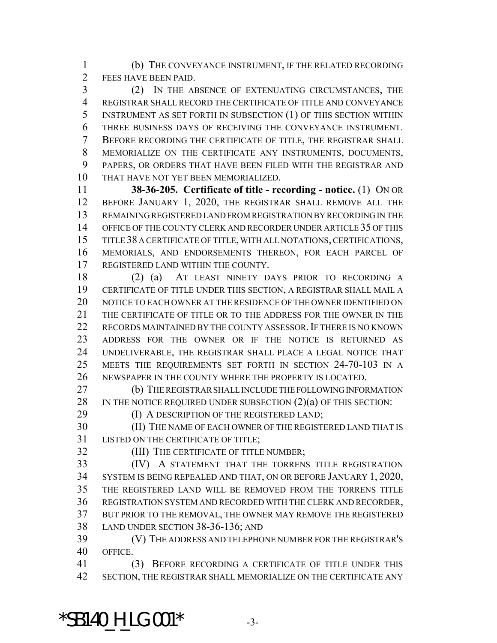(b) THE CONVEYANCE INSTRUMENT, IF THE RELATED RECORDING FEES HAVE BEEN PAID.

 (2) IN THE ABSENCE OF EXTENUATING CIRCUMSTANCES, THE REGISTRAR SHALL RECORD THE CERTIFICATE OF TITLE AND CONVEYANCE INSTRUMENT AS SET FORTH IN SUBSECTION (1) OF THIS SECTION WITHIN THREE BUSINESS DAYS OF RECEIVING THE CONVEYANCE INSTRUMENT. BEFORE RECORDING THE CERTIFICATE OF TITLE, THE REGISTRAR SHALL MEMORIALIZE ON THE CERTIFICATE ANY INSTRUMENTS, DOCUMENTS, PAPERS, OR ORDERS THAT HAVE BEEN FILED WITH THE REGISTRAR AND THAT HAVE NOT YET BEEN MEMORIALIZED.

 **38-36-205. Certificate of title - recording - notice.** (1) ON OR BEFORE JANUARY 1, 2020, THE REGISTRAR SHALL REMOVE ALL THE REMAINING REGISTERED LAND FROM REGISTRATION BY RECORDING IN THE OFFICE OF THE COUNTY CLERK AND RECORDER UNDER ARTICLE 35 OF THIS TITLE 38 A CERTIFICATE OF TITLE, WITH ALL NOTATIONS, CERTIFICATIONS, MEMORIALS, AND ENDORSEMENTS THEREON, FOR EACH PARCEL OF REGISTERED LAND WITHIN THE COUNTY.

 (2) (a) AT LEAST NINETY DAYS PRIOR TO RECORDING A CERTIFICATE OF TITLE UNDER THIS SECTION, A REGISTRAR SHALL MAIL A NOTICE TO EACH OWNER AT THE RESIDENCE OF THE OWNER IDENTIFIED ON THE CERTIFICATE OF TITLE OR TO THE ADDRESS FOR THE OWNER IN THE 22 RECORDS MAINTAINED BY THE COUNTY ASSESSOR. IF THERE IS NO KNOWN ADDRESS FOR THE OWNER OR IF THE NOTICE IS RETURNED AS UNDELIVERABLE, THE REGISTRAR SHALL PLACE A LEGAL NOTICE THAT MEETS THE REQUIREMENTS SET FORTH IN SECTION 24-70-103 IN A NEWSPAPER IN THE COUNTY WHERE THE PROPERTY IS LOCATED.

 (b) THE REGISTRAR SHALL INCLUDE THE FOLLOWING INFORMATION 28 IN THE NOTICE REQUIRED UNDER SUBSECTION  $(2)(a)$  OF THIS SECTION:

**(I) A DESCRIPTION OF THE REGISTERED LAND;** 

 (II) THE NAME OF EACH OWNER OF THE REGISTERED LAND THAT IS LISTED ON THE CERTIFICATE OF TITLE;

(III) THE CERTIFICATE OF TITLE NUMBER;

 (IV) A STATEMENT THAT THE TORRENS TITLE REGISTRATION SYSTEM IS BEING REPEALED AND THAT, ON OR BEFORE JANUARY 1, 2020, THE REGISTERED LAND WILL BE REMOVED FROM THE TORRENS TITLE REGISTRATION SYSTEM AND RECORDED WITH THE CLERK AND RECORDER, BUT PRIOR TO THE REMOVAL, THE OWNER MAY REMOVE THE REGISTERED LAND UNDER SECTION 38-36-136; AND

 (V) THE ADDRESS AND TELEPHONE NUMBER FOR THE REGISTRAR'S OFFICE.

 (3) BEFORE RECORDING A CERTIFICATE OF TITLE UNDER THIS SECTION, THE REGISTRAR SHALL MEMORIALIZE ON THE CERTIFICATE ANY

 $*$ SB140 H LG.001 $*$  -3-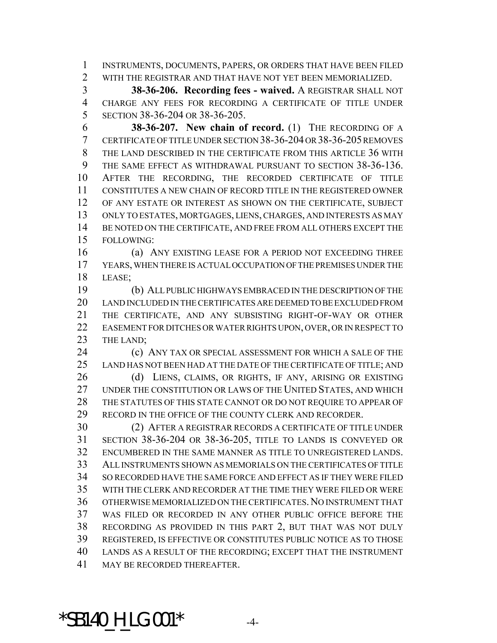INSTRUMENTS, DOCUMENTS, PAPERS, OR ORDERS THAT HAVE BEEN FILED WITH THE REGISTRAR AND THAT HAVE NOT YET BEEN MEMORIALIZED.

 **38-36-206. Recording fees - waived.** A REGISTRAR SHALL NOT CHARGE ANY FEES FOR RECORDING A CERTIFICATE OF TITLE UNDER SECTION 38-36-204 OR 38-36-205.

 **38-36-207. New chain of record.** (1) THE RECORDING OF A CERTIFICATE OF TITLE UNDER SECTION 38-36-204 OR 38-36-205 REMOVES THE LAND DESCRIBED IN THE CERTIFICATE FROM THIS ARTICLE 36 WITH THE SAME EFFECT AS WITHDRAWAL PURSUANT TO SECTION 38-36-136. AFTER THE RECORDING, THE RECORDED CERTIFICATE OF TITLE CONSTITUTES A NEW CHAIN OF RECORD TITLE IN THE REGISTERED OWNER OF ANY ESTATE OR INTEREST AS SHOWN ON THE CERTIFICATE, SUBJECT ONLY TO ESTATES, MORTGAGES, LIENS, CHARGES, AND INTERESTS AS MAY 14 BE NOTED ON THE CERTIFICATE, AND FREE FROM ALL OTHERS EXCEPT THE FOLLOWING:

 (a) ANY EXISTING LEASE FOR A PERIOD NOT EXCEEDING THREE YEARS, WHEN THERE IS ACTUAL OCCUPATION OF THE PREMISES UNDER THE LEASE;

 (b) ALL PUBLIC HIGHWAYS EMBRACED IN THE DESCRIPTION OF THE LAND INCLUDED IN THE CERTIFICATES ARE DEEMED TO BE EXCLUDED FROM THE CERTIFICATE, AND ANY SUBSISTING RIGHT-OF-WAY OR OTHER EASEMENT FOR DITCHES OR WATER RIGHTS UPON, OVER, OR IN RESPECT TO 23 THE LAND;

 (c) ANY TAX OR SPECIAL ASSESSMENT FOR WHICH A SALE OF THE LAND HAS NOT BEEN HAD AT THE DATE OF THE CERTIFICATE OF TITLE; AND

26 (d) LIENS, CLAIMS, OR RIGHTS, IF ANY, ARISING OR EXISTING UNDER THE CONSTITUTION OR LAWS OF THE UNITED STATES, AND WHICH THE STATUTES OF THIS STATE CANNOT OR DO NOT REQUIRE TO APPEAR OF RECORD IN THE OFFICE OF THE COUNTY CLERK AND RECORDER.

 (2) AFTER A REGISTRAR RECORDS A CERTIFICATE OF TITLE UNDER SECTION 38-36-204 OR 38-36-205, TITLE TO LANDS IS CONVEYED OR ENCUMBERED IN THE SAME MANNER AS TITLE TO UNREGISTERED LANDS. ALL INSTRUMENTS SHOWN AS MEMORIALS ON THE CERTIFICATES OF TITLE SO RECORDED HAVE THE SAME FORCE AND EFFECT AS IF THEY WERE FILED WITH THE CLERK AND RECORDER AT THE TIME THEY WERE FILED OR WERE OTHERWISE MEMORIALIZED ON THE CERTIFICATES.NO INSTRUMENT THAT WAS FILED OR RECORDED IN ANY OTHER PUBLIC OFFICE BEFORE THE RECORDING AS PROVIDED IN THIS PART 2, BUT THAT WAS NOT DULY REGISTERED, IS EFFECTIVE OR CONSTITUTES PUBLIC NOTICE AS TO THOSE LANDS AS A RESULT OF THE RECORDING; EXCEPT THAT THE INSTRUMENT MAY BE RECORDED THEREAFTER.

 $*$ SB140 H LG.001 $*$  -4-